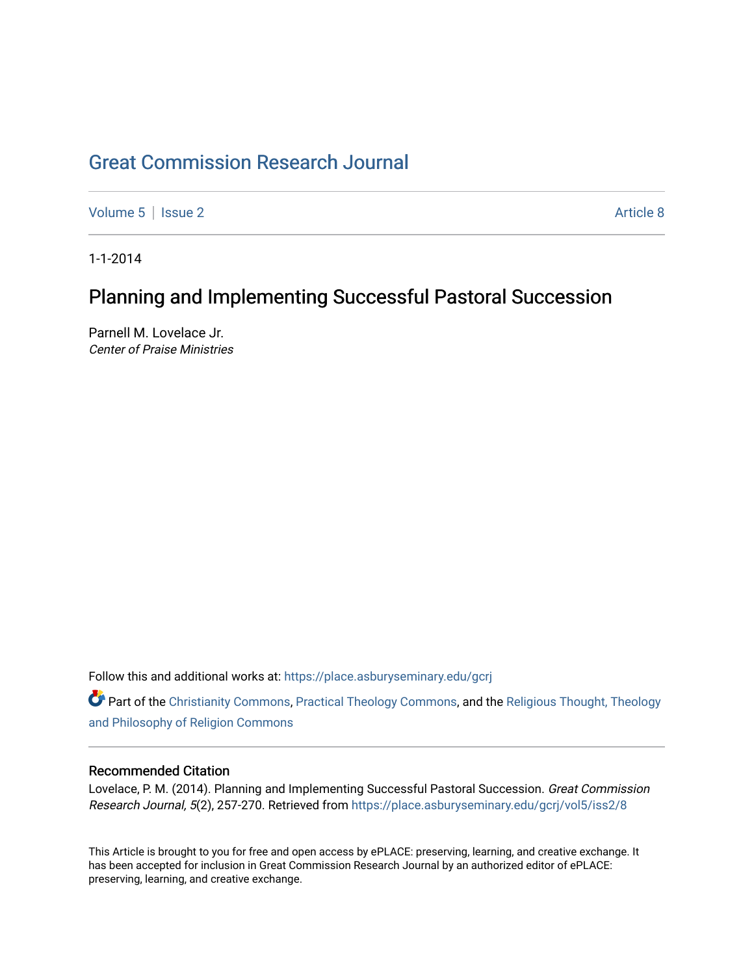## [Great Commission Research Journal](https://place.asburyseminary.edu/gcrj)

[Volume 5](https://place.asburyseminary.edu/gcrj/vol5) | [Issue 2](https://place.asburyseminary.edu/gcrj/vol5/iss2) Article 8

1-1-2014

## Planning and Implementing Successful Pastoral Succession

Parnell M. Lovelace Jr. Center of Praise Ministries

Follow this and additional works at: [https://place.asburyseminary.edu/gcrj](https://place.asburyseminary.edu/gcrj?utm_source=place.asburyseminary.edu%2Fgcrj%2Fvol5%2Fiss2%2F8&utm_medium=PDF&utm_campaign=PDFCoverPages) 

Part of the [Christianity Commons,](http://network.bepress.com/hgg/discipline/1181?utm_source=place.asburyseminary.edu%2Fgcrj%2Fvol5%2Fiss2%2F8&utm_medium=PDF&utm_campaign=PDFCoverPages) [Practical Theology Commons](http://network.bepress.com/hgg/discipline/1186?utm_source=place.asburyseminary.edu%2Fgcrj%2Fvol5%2Fiss2%2F8&utm_medium=PDF&utm_campaign=PDFCoverPages), and the [Religious Thought, Theology](http://network.bepress.com/hgg/discipline/544?utm_source=place.asburyseminary.edu%2Fgcrj%2Fvol5%2Fiss2%2F8&utm_medium=PDF&utm_campaign=PDFCoverPages)  [and Philosophy of Religion Commons](http://network.bepress.com/hgg/discipline/544?utm_source=place.asburyseminary.edu%2Fgcrj%2Fvol5%2Fiss2%2F8&utm_medium=PDF&utm_campaign=PDFCoverPages)

## Recommended Citation

Lovelace, P. M. (2014). Planning and Implementing Successful Pastoral Succession. Great Commission Research Journal, 5(2), 257-270. Retrieved from [https://place.asburyseminary.edu/gcrj/vol5/iss2/8](https://place.asburyseminary.edu/gcrj/vol5/iss2/8?utm_source=place.asburyseminary.edu%2Fgcrj%2Fvol5%2Fiss2%2F8&utm_medium=PDF&utm_campaign=PDFCoverPages)

This Article is brought to you for free and open access by ePLACE: preserving, learning, and creative exchange. It has been accepted for inclusion in Great Commission Research Journal by an authorized editor of ePLACE: preserving, learning, and creative exchange.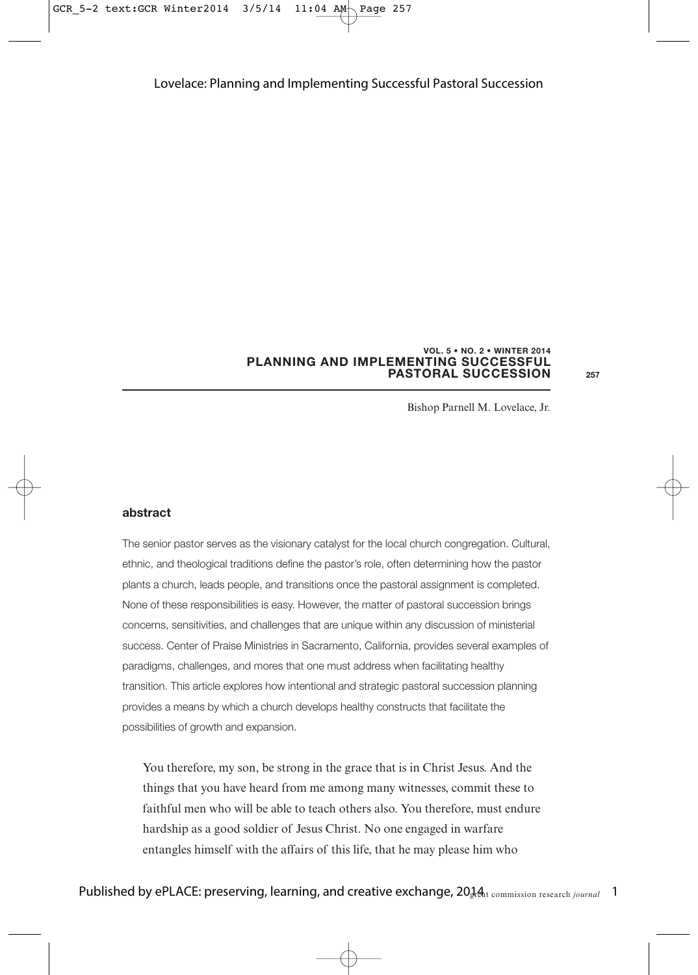#### **PLANNING AND IMPLEMENTING SUCCESSFUL PASTORAL SUCCESSION VOL. 5 • NO. 2 • WINTER 2014**

**257**

Bishop Parnell M. Lovelace, Jr.

#### **abstract**

The senior pastor serves as the visionary catalyst for the local church congregation. Cultural, ethnic, and theological traditions define the pastor's role, often determining how the pastor plants a church, leads people, and transitions once the pastoral assignment is completed. None of these responsibilities is easy. However, the matter of pastoral succession brings concerns, sensitivities, and challenges that are unique within any discussion of ministerial success. Center of Praise Ministries in Sacramento, California, provides several examples of paradigms, challenges, and mores that one must address when facilitating healthy transition. This article explores how intentional and strategic pastoral succession planning provides a means by which a church develops healthy constructs that facilitate the possibilities of growth and expansion.

You therefore, my son, be strong in the grace that is in Christ Jesus. And the things that you have heard from me among many witnesses, commit these to faithful men who will be able to teach others also. You therefore, must endure hardship as a good soldier of Jesus Christ. No one engaged in warfare entangles himself with the affairs of this life, that he may please him who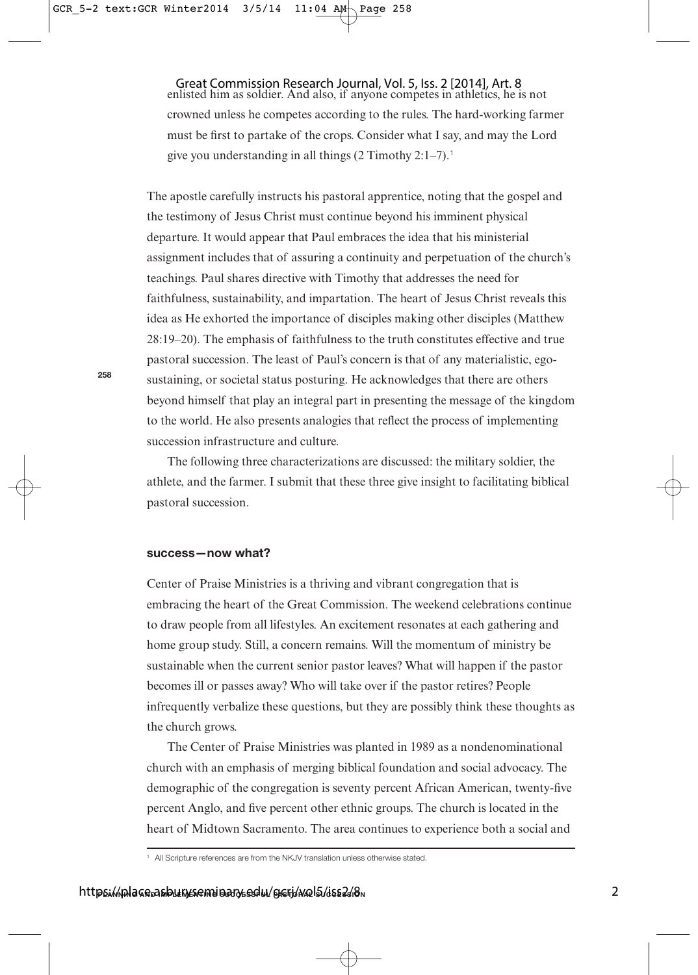enlisted him as soldier. And also, if anyone competes in athletics, he is not crowned unless he competes according to the rules. The hard-working farmer must be first to partake of the crops. Consider what I say, and may the Lord give you understanding in all things  $(2 \text{ Timothy } 2:1-7).$ <sup>1</sup> Great Commission Research Journal, Vol. 5, Iss. 2 [2014], Art. 8

The apostle carefully instructs his pastoral apprentice, noting that the gospel and the testimony of Jesus Christ must continue beyond his imminent physical departure. It would appear that Paul embraces the idea that his ministerial assignment includes that of assuring a continuity and perpetuation of the church's teachings. Paul shares directive with Timothy that addresses the need for faithfulness, sustainability, and impartation. The heart of Jesus Christ reveals this idea as He exhorted the importance of disciples making other disciples (Matthew 28:19–20). The emphasis of faithfulness to the truth constitutes effective and true pastoral succession. The least of Paul's concern is that of any materialistic, egosustaining, or societal status posturing. He acknowledges that there are others beyond himself that play an integral part in presenting the message of the kingdom to the world. He also presents analogies that reflect the process of implementing succession infrastructure and culture.

The following three characterizations are discussed: the military soldier, the athlete, and the farmer. I submit that these three give insight to facilitating biblical pastoral succession.

## **success—now what?**

Center of Praise Ministries is a thriving and vibrant congregation that is embracing the heart of the Great Commission. The weekend celebrations continue to draw people from all lifestyles. An excitement resonates at each gathering and home group study. Still, a concern remains. Will the momentum of ministry be sustainable when the current senior pastor leaves? What will happen if the pastor becomes ill or passes away? Who will take over if the pastor retires? People infrequently verbalize these questions, but they are possibly think these thoughts as the church grows.

The Center of Praise Ministries was planted in 1989 as a nondenominational church with an emphasis of merging biblical foundation and social advocacy. The demographic of the congregation is seventy percent African American, twenty-five percent Anglo, and five percent other ethnic groups. The church is located in the heart of Midtown Sacramento. The area continues to experience both a social and

<sup>&</sup>lt;sup>1</sup> All Scripture references are from the NKJV translation unless otherwise stated.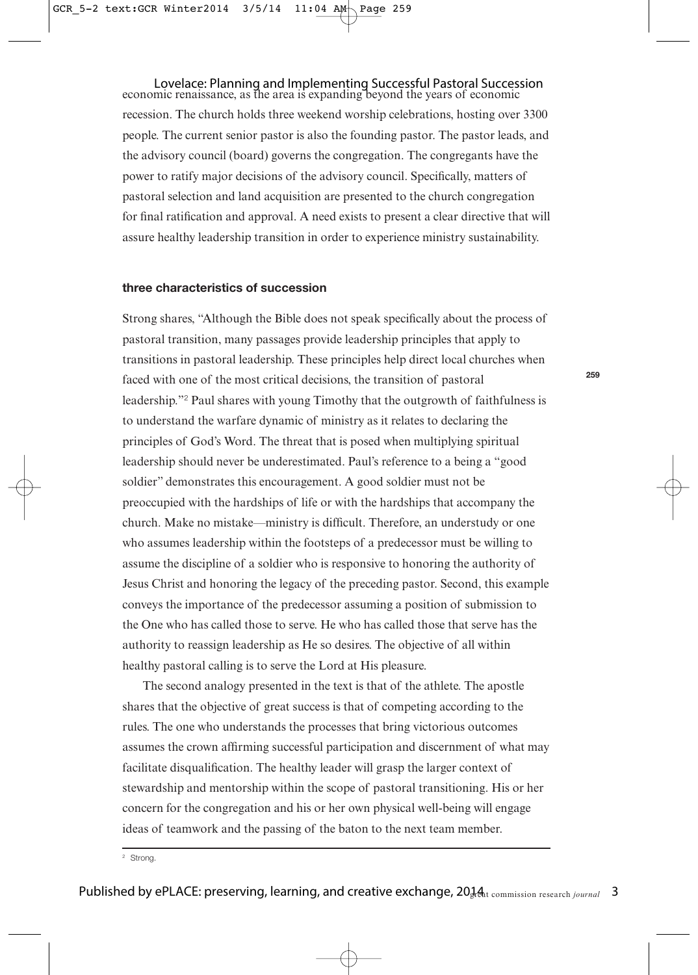economic renaissance, as the area is expanding beyond the years of economic Lovelace: Planning and Implementing Successful Pastoral Succession recession. The church holds three weekend worship celebrations, hosting over 3300 people. The current senior pastor is also the founding pastor. The pastor leads, and the advisory council (board) governs the congregation. The congregants have the power to ratify major decisions of the advisory council. Specifically, matters of pastoral selection and land acquisition are presented to the church congregation for final ratification and approval. A need exists to present a clear directive that will assure healthy leadership transition in order to experience ministry sustainability.

#### **three characteristics of succession**

Strong shares, "Although the Bible does not speak specifically about the process of pastoral transition, many passages provide leadership principles that apply to transitions in pastoral leadership. These principles help direct local churches when faced with one of the most critical decisions, the transition of pastoral leadership."<sup>2</sup> Paul shares with young Timothy that the outgrowth of faithfulness is to understand the warfare dynamic of ministry as it relates to declaring the principles of God's Word. The threat that is posed when multiplying spiritual leadership should never be underestimated. Paul's reference to a being a "good soldier" demonstrates this encouragement. A good soldier must not be preoccupied with the hardships of life or with the hardships that accompany the church. Make no mistake—ministry is difficult. Therefore, an understudy or one who assumes leadership within the footsteps of a predecessor must be willing to assume the discipline of a soldier who is responsive to honoring the authority of Jesus Christ and honoring the legacy of the preceding pastor. Second, this example conveys the importance of the predecessor assuming a position of submission to the One who has called those to serve. He who has called those that serve has the authority to reassign leadership as He so desires. The objective of all within healthy pastoral calling is to serve the Lord at His pleasure.

The second analogy presented in the text is that of the athlete. The apostle shares that the objective of great success is that of competing according to the rules. The one who understands the processes that bring victorious outcomes assumes the crown affirming successful participation and discernment of what may facilitate disqualification. The healthy leader will grasp the larger context of stewardship and mentorship within the scope of pastoral transitioning. His or her concern for the congregation and his or her own physical well-being will engage ideas of teamwork and the passing of the baton to the next team member.

<sup>2</sup> Strong.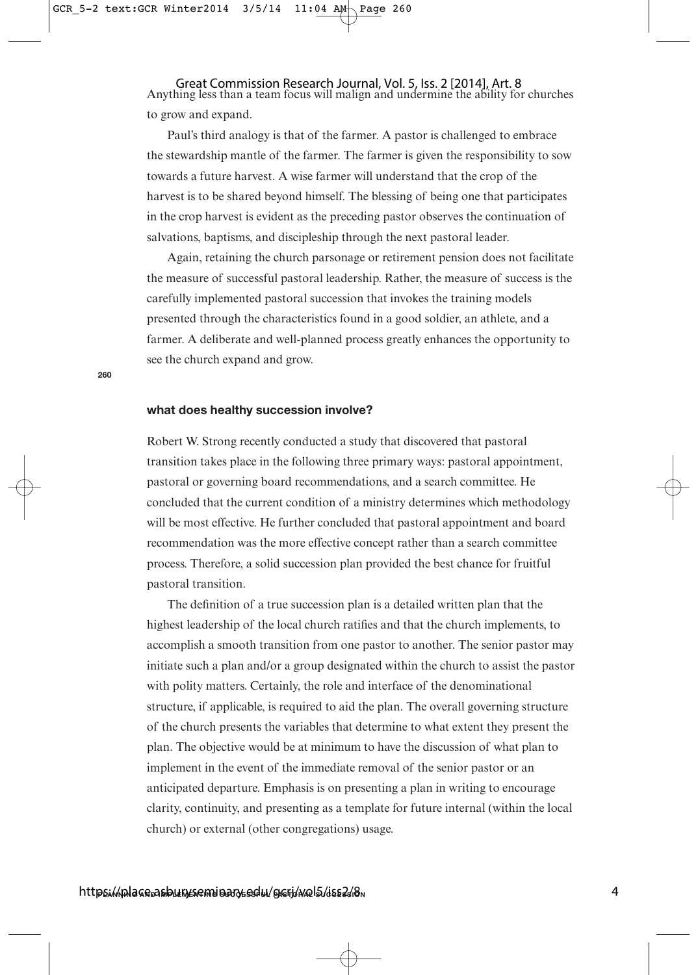Anything less than a team focus will malign and undermine the ability for churches Great Commission Research Journal, Vol. 5, Iss. 2 [2014], Art. 8 to grow and expand.

Paul's third analogy is that of the farmer. A pastor is challenged to embrace the stewardship mantle of the farmer. The farmer is given the responsibility to sow towards a future harvest. A wise farmer will understand that the crop of the harvest is to be shared beyond himself. The blessing of being one that participates in the crop harvest is evident as the preceding pastor observes the continuation of salvations, baptisms, and discipleship through the next pastoral leader.

Again, retaining the church parsonage or retirement pension does not facilitate the measure of successful pastoral leadership. Rather, the measure of success is the carefully implemented pastoral succession that invokes the training models presented through the characteristics found in a good soldier, an athlete, and a farmer. A deliberate and well-planned process greatly enhances the opportunity to see the church expand and grow.

## **what does healthy succession involve?**

Robert W. Strong recently conducted a study that discovered that pastoral transition takes place in the following three primary ways: pastoral appointment, pastoral or governing board recommendations, and a search committee. He concluded that the current condition of a ministry determines which methodology will be most effective. He further concluded that pastoral appointment and board recommendation was the more effective concept rather than a search committee process. Therefore, a solid succession plan provided the best chance for fruitful pastoral transition.

The definition of a true succession plan is a detailed written plan that the highest leadership of the local church ratifies and that the church implements, to accomplish a smooth transition from one pastor to another. The senior pastor may initiate such a plan and/or a group designated within the church to assist the pastor with polity matters. Certainly, the role and interface of the denominational structure, if applicable, is required to aid the plan. The overall governing structure of the church presents the variables that determine to what extent they present the plan. The objective would be at minimum to have the discussion of what plan to implement in the event of the immediate removal of the senior pastor or an anticipated departure. Emphasis is on presenting a plan in writing to encourage clarity, continuity, and presenting as a template for future internal (within the local church) or external (other congregations) usage.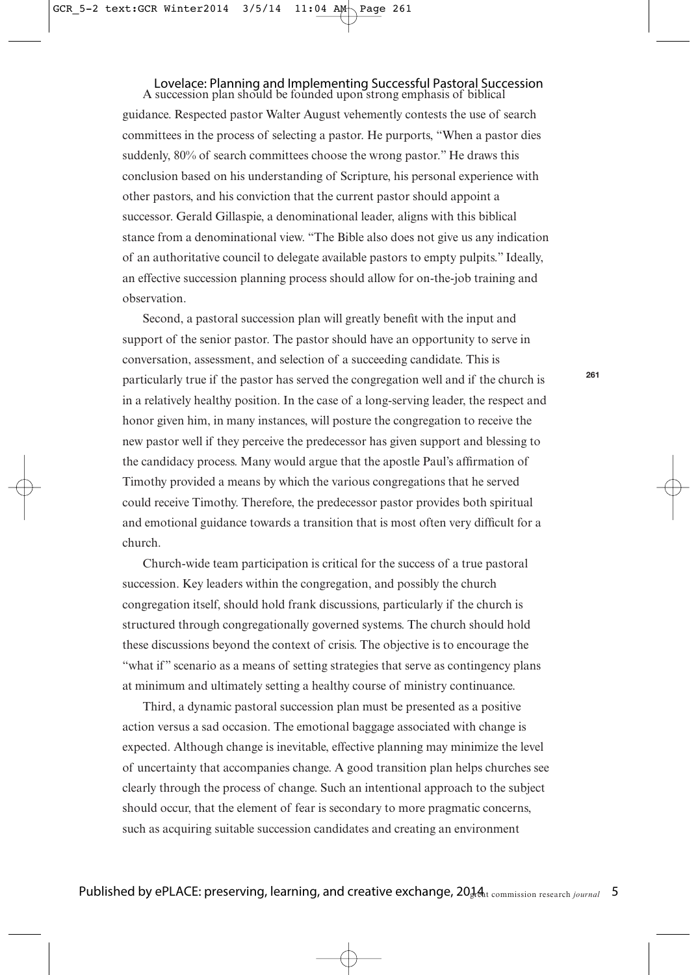#### A succession plan should be founded upon strong emphasis of biblical Lovelace: Planning and Implementing Successful Pastoral Succession

guidance. Respected pastor Walter August vehemently contests the use of search committees in the process of selecting a pastor. He purports, "When a pastor dies suddenly, 80% of search committees choose the wrong pastor." He draws this conclusion based on his understanding of Scripture, his personal experience with other pastors, and his conviction that the current pastor should appoint a successor. Gerald Gillaspie, a denominational leader, aligns with this biblical stance from a denominational view. "The Bible also does not give us any indication of an authoritative council to delegate available pastors to empty pulpits." Ideally, an effective succession planning process should allow for on-the-job training and observation.

Second, a pastoral succession plan will greatly benefit with the input and support of the senior pastor. The pastor should have an opportunity to serve in conversation, assessment, and selection of a succeeding candidate. This is particularly true if the pastor has served the congregation well and if the church is in a relatively healthy position. In the case of a long-serving leader, the respect and honor given him, in many instances, will posture the congregation to receive the new pastor well if they perceive the predecessor has given support and blessing to the candidacy process. Many would argue that the apostle Paul's affirmation of Timothy provided a means by which the various congregations that he served could receive Timothy. Therefore, the predecessor pastor provides both spiritual and emotional guidance towards a transition that is most often very difficult for a church.

Church-wide team participation is critical for the success of a true pastoral succession. Key leaders within the congregation, and possibly the church congregation itself, should hold frank discussions, particularly if the church is structured through congregationally governed systems. The church should hold these discussions beyond the context of crisis. The objective is to encourage the "what if" scenario as a means of setting strategies that serve as contingency plans at minimum and ultimately setting a healthy course of ministry continuance.

Third, a dynamic pastoral succession plan must be presented as a positive action versus a sad occasion. The emotional baggage associated with change is expected. Although change is inevitable, effective planning may minimize the level of uncertainty that accompanies change. A good transition plan helps churches see clearly through the process of change. Such an intentional approach to the subject should occur, that the element of fear is secondary to more pragmatic concerns, such as acquiring suitable succession candidates and creating an environment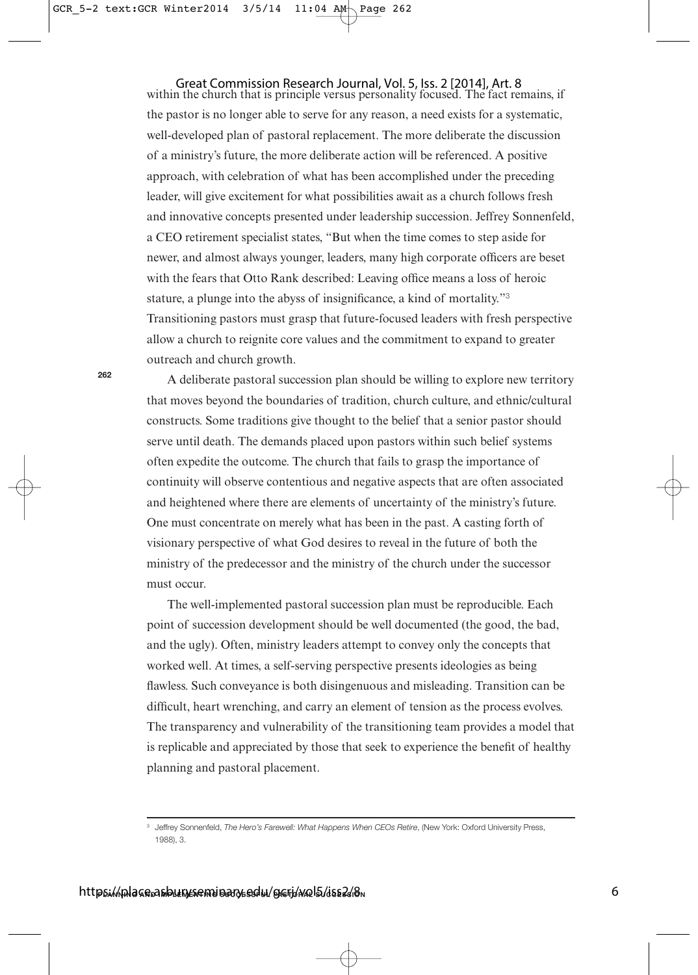within the church that is principle versus personality focused. The fact remains, if the pastor is no longer able to serve for any reason, a need exists for a systematic, well-developed plan of pastoral replacement. The more deliberate the discussion of a ministry's future, the more deliberate action will be referenced. A positive approach, with celebration of what has been accomplished under the preceding leader, will give excitement for what possibilities await as a church follows fresh and innovative concepts presented under leadership succession. Jeffrey Sonnenfeld, a CEO retirement specialist states, "But when the time comes to step aside for newer, and almost always younger, leaders, many high corporate officers are beset with the fears that Otto Rank described: Leaving office means a loss of heroic stature, a plunge into the abyss of insignificance, a kind of mortality."<sup>3</sup> Transitioning pastors must grasp that future-focused leaders with fresh perspective allow a church to reignite core values and the commitment to expand to greater outreach and church growth. Great Commission Research Journal, Vol. 5, Iss. 2 [2014], Art. 8

A deliberate pastoral succession plan should be willing to explore new territory that moves beyond the boundaries of tradition, church culture, and ethnic/cultural constructs. Some traditions give thought to the belief that a senior pastor should serve until death. The demands placed upon pastors within such belief systems often expedite the outcome. The church that fails to grasp the importance of continuity will observe contentious and negative aspects that are often associated and heightened where there are elements of uncertainty of the ministry's future. One must concentrate on merely what has been in the past. A casting forth of visionary perspective of what God desires to reveal in the future of both the ministry of the predecessor and the ministry of the church under the successor must occur.

The well-implemented pastoral succession plan must be reproducible. Each point of succession development should be well documented (the good, the bad, and the ugly). Often, ministry leaders attempt to convey only the concepts that worked well. At times, a self-serving perspective presents ideologies as being flawless. Such conveyance is both disingenuous and misleading. Transition can be difficult, heart wrenching, and carry an element of tension as the process evolves. The transparency and vulnerability of the transitioning team provides a model that is replicable and appreciated by those that seek to experience the benefit of healthy planning and pastoral placement.

<sup>&</sup>lt;sup>3</sup> Jeffrey Sonnenfeld, The Hero's Farewell: What Happens When CEOs Retire, (New York: Oxford University Press, 1988), 3.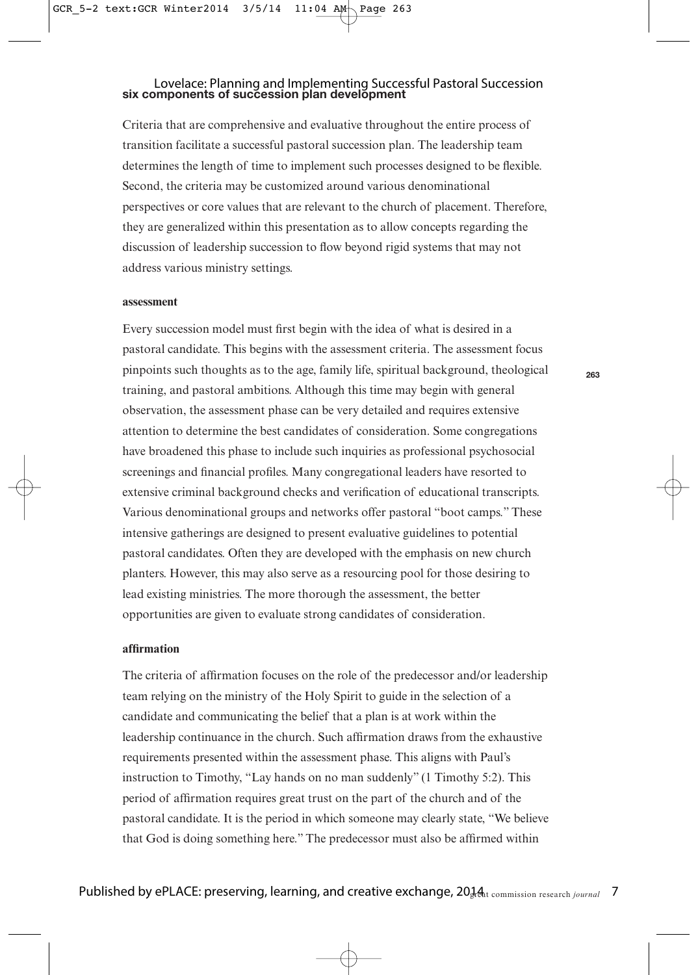# **six components of succession plan development** Lovelace: Planning and Implementing Successful Pastoral Succession

Criteria that are comprehensive and evaluative throughout the entire process of transition facilitate a successful pastoral succession plan. The leadership team determines the length of time to implement such processes designed to be flexible. Second, the criteria may be customized around various denominational perspectives or core values that are relevant to the church of placement. Therefore, they are generalized within this presentation as to allow concepts regarding the discussion of leadership succession to flow beyond rigid systems that may not address various ministry settings.

### **assessment**

Every succession model must first begin with the idea of what is desired in a pastoral candidate. This begins with the assessment criteria. The assessment focus pinpoints such thoughts as to the age, family life, spiritual background, theological training, and pastoral ambitions. Although this time may begin with general observation, the assessment phase can be very detailed and requires extensive attention to determine the best candidates of consideration. Some congregations have broadened this phase to include such inquiries as professional psychosocial screenings and financial profiles. Many congregational leaders have resorted to extensive criminal background checks and verification of educational transcripts. Various denominational groups and networks offer pastoral "boot camps." These intensive gatherings are designed to present evaluative guidelines to potential pastoral candidates. Often they are developed with the emphasis on new church planters. However, this may also serve as a resourcing pool for those desiring to lead existing ministries. The more thorough the assessment, the better opportunities are given to evaluate strong candidates of consideration.

### **affirmation**

The criteria of affirmation focuses on the role of the predecessor and/or leadership team relying on the ministry of the Holy Spirit to guide in the selection of a candidate and communicating the belief that a plan is at work within the leadership continuance in the church. Such affirmation draws from the exhaustive requirements presented within the assessment phase. This aligns with Paul's instruction to Timothy, "Lay hands on no man suddenly" (1 Timothy 5:2). This period of affirmation requires great trust on the part of the church and of the pastoral candidate. It is the period in which someone may clearly state, "We believe that God is doing something here." The predecessor must also be affirmed within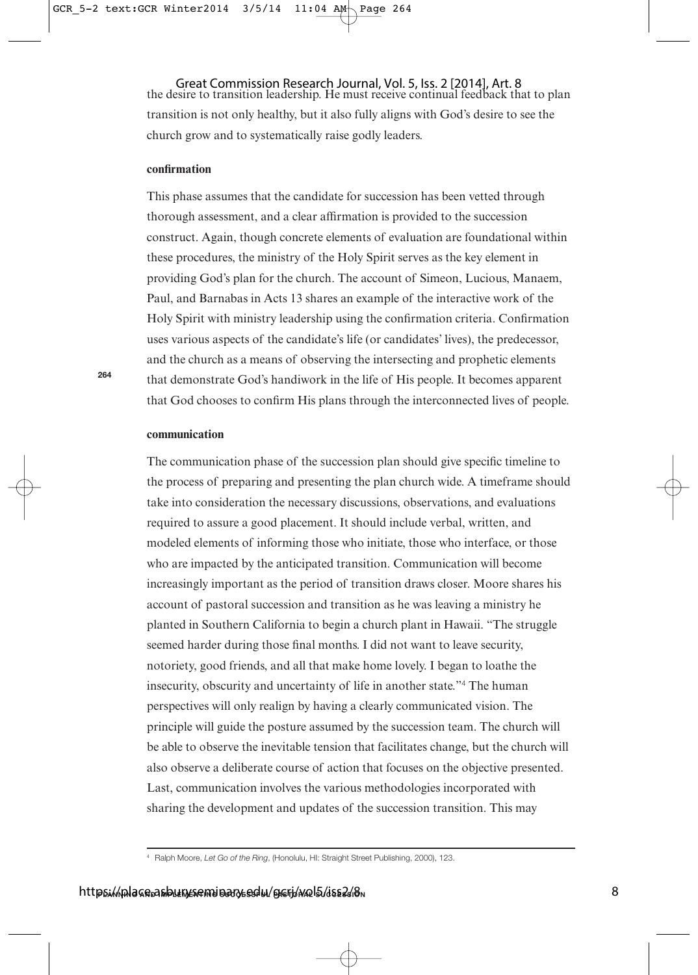the desire to transition leadership. He must receive continual feedback that to plan transition is not only healthy, but it also fully aligns with God's desire to see the church grow and to systematically raise godly leaders. Great Commission Research Journal, Vol. 5, Iss. 2 [2014], Art. 8

#### **confirmation**

This phase assumes that the candidate for succession has been vetted through thorough assessment, and a clear affirmation is provided to the succession construct. Again, though concrete elements of evaluation are foundational within these procedures, the ministry of the Holy Spirit serves as the key element in providing God's plan for the church. The account of Simeon, Lucious, Manaem, Paul, and Barnabas in Acts 13 shares an example of the interactive work of the Holy Spirit with ministry leadership using the confirmation criteria. Confirmation uses various aspects of the candidate's life (or candidates' lives), the predecessor, and the church as a means of observing the intersecting and prophetic elements that demonstrate God's handiwork in the life of His people. It becomes apparent that God chooses to confirm His plans through the interconnected lives of people.

#### **communication**

**264**

The communication phase of the succession plan should give specific timeline to the process of preparing and presenting the plan church wide. A timeframe should take into consideration the necessary discussions, observations, and evaluations required to assure a good placement. It should include verbal, written, and modeled elements of informing those who initiate, those who interface, or those who are impacted by the anticipated transition. Communication will become increasingly important as the period of transition draws closer. Moore shares his account of pastoral succession and transition as he was leaving a ministry he planted in Southern California to begin a church plant in Hawaii. "The struggle seemed harder during those final months. I did not want to leave security, notoriety, good friends, and all that make home lovely. I began to loathe the insecurity, obscurity and uncertainty of life in another state."<sup>4</sup> The human perspectives will only realign by having a clearly communicated vision. The principle will guide the posture assumed by the succession team. The church will be able to observe the inevitable tension that facilitates change, but the church will also observe a deliberate course of action that focuses on the objective presented. Last, communication involves the various methodologies incorporated with sharing the development and updates of the succession transition. This may

<sup>&</sup>lt;sup>4</sup> Ralph Moore, Let Go of the Ring, (Honolulu, HI: Straight Street Publishing, 2000), 123.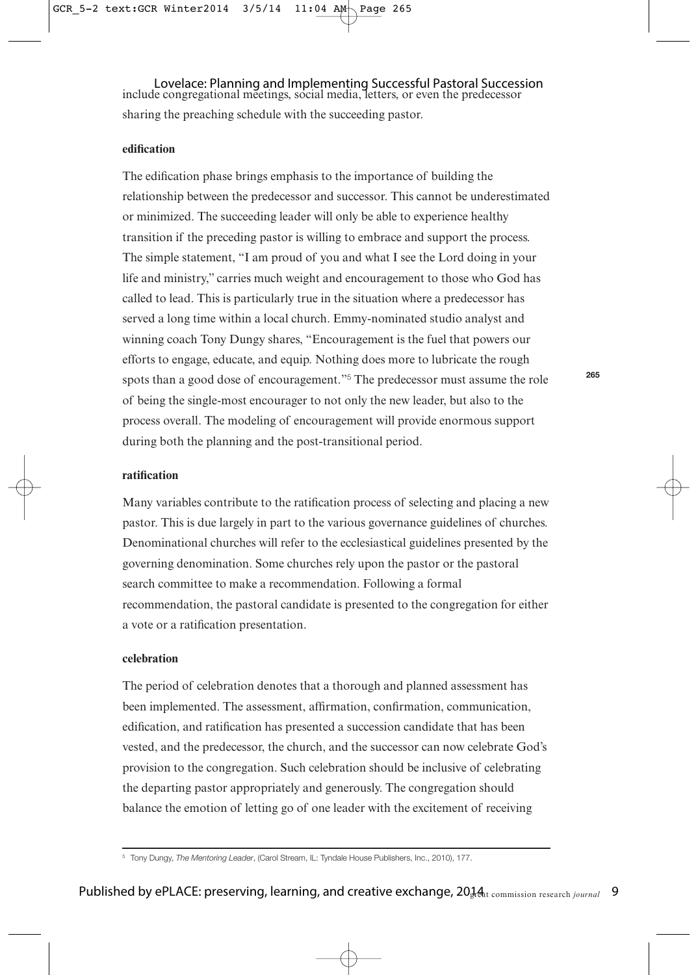include congregational meetings, social media, letters, or even the predecessor Lovelace: Planning and Implementing Successful Pastoral Succession sharing the preaching schedule with the succeeding pastor.

#### **edification**

The edification phase brings emphasis to the importance of building the relationship between the predecessor and successor. This cannot be underestimated or minimized. The succeeding leader will only be able to experience healthy transition if the preceding pastor is willing to embrace and support the process. The simple statement, "I am proud of you and what I see the Lord doing in your life and ministry," carries much weight and encouragement to those who God has called to lead. This is particularly true in the situation where a predecessor has served a long time within a local church. Emmy-nominated studio analyst and winning coach Tony Dungy shares, "Encouragement is the fuel that powers our efforts to engage, educate, and equip. Nothing does more to lubricate the rough spots than a good dose of encouragement."<sup>5</sup> The predecessor must assume the role of being the single-most encourager to not only the new leader, but also to the process overall. The modeling of encouragement will provide enormous support during both the planning and the post-transitional period.

### **ratification**

Many variables contribute to the ratification process of selecting and placing a new pastor. This is due largely in part to the various governance guidelines of churches. Denominational churches will refer to the ecclesiastical guidelines presented by the governing denomination. Some churches rely upon the pastor or the pastoral search committee to make a recommendation. Following a formal recommendation, the pastoral candidate is presented to the congregation for either a vote or a ratification presentation.

## **celebration**

The period of celebration denotes that a thorough and planned assessment has been implemented. The assessment, affirmation, confirmation, communication, edification, and ratification has presented a succession candidate that has been vested, and the predecessor, the church, and the successor can now celebrate God's provision to the congregation. Such celebration should be inclusive of celebrating the departing pastor appropriately and generously. The congregation should balance the emotion of letting go of one leader with the excitement of receiving

<sup>&</sup>lt;sup>5</sup> Tony Dungy, The Mentoring Leader, (Carol Stream, IL: Tyndale House Publishers, Inc., 2010), 177.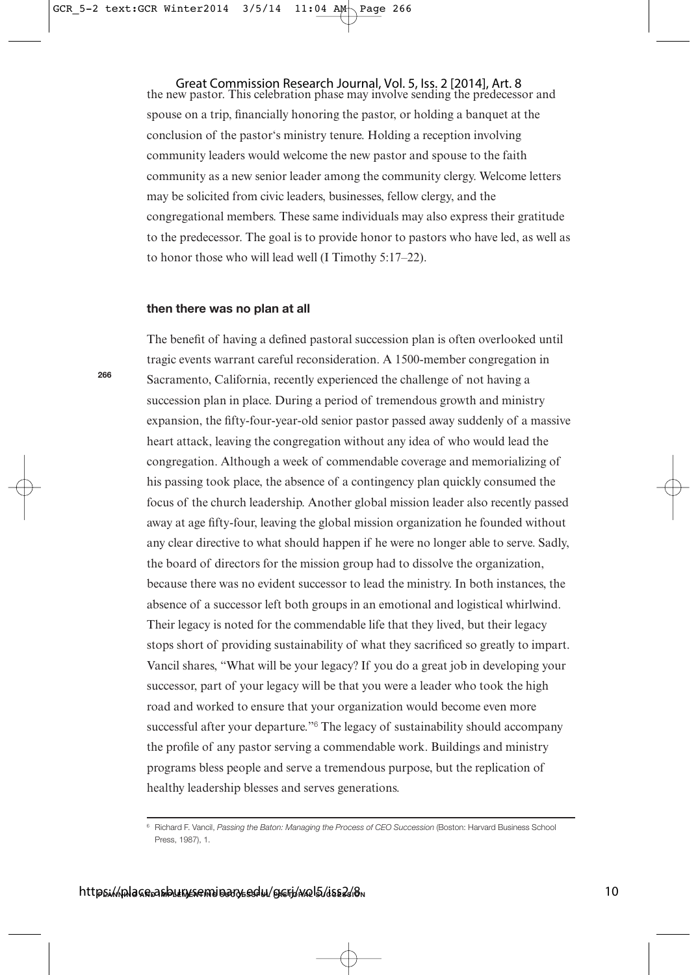the new pastor. This celebration phase may involve sending the predecessor and spouse on a trip, financially honoring the pastor, or holding a banquet at the conclusion of the pastor's ministry tenure. Holding a reception involving community leaders would welcome the new pastor and spouse to the faith community as a new senior leader among the community clergy. Welcome letters may be solicited from civic leaders, businesses, fellow clergy, and the congregational members. These same individuals may also express their gratitude to the predecessor. The goal is to provide honor to pastors who have led, as well as to honor those who will lead well (I Timothy 5:17–22). Great Commission Research Journal, Vol. 5, Iss. 2 [2014], Art. 8

#### **then there was no plan at all**

The benefit of having a defined pastoral succession plan is often overlooked until tragic events warrant careful reconsideration. A 1500-member congregation in Sacramento, California, recently experienced the challenge of not having a succession plan in place. During a period of tremendous growth and ministry expansion, the fifty-four-year-old senior pastor passed away suddenly of a massive heart attack, leaving the congregation without any idea of who would lead the congregation. Although a week of commendable coverage and memorializing of his passing took place, the absence of a contingency plan quickly consumed the focus of the church leadership. Another global mission leader also recently passed away at age fifty-four, leaving the global mission organization he founded without any clear directive to what should happen if he were no longer able to serve. Sadly, the board of directors for the mission group had to dissolve the organization, because there was no evident successor to lead the ministry. In both instances, the absence of a successor left both groups in an emotional and logistical whirlwind. Their legacy is noted for the commendable life that they lived, but their legacy stops short of providing sustainability of what they sacrificed so greatly to impart. Vancil shares, "What will be your legacy? If you do a great job in developing your successor, part of your legacy will be that you were a leader who took the high road and worked to ensure that your organization would become even more successful after your departure."<sup>6</sup> The legacy of sustainability should accompany the profile of any pastor serving a commendable work. Buildings and ministry programs bless people and serve a tremendous purpose, but the replication of healthy leadership blesses and serves generations.

<sup>&</sup>lt;sup>6</sup> Richard F. Vancil, Passing the Baton: Managing the Process of CEO Succession (Boston: Harvard Business School Press, 1987), 1.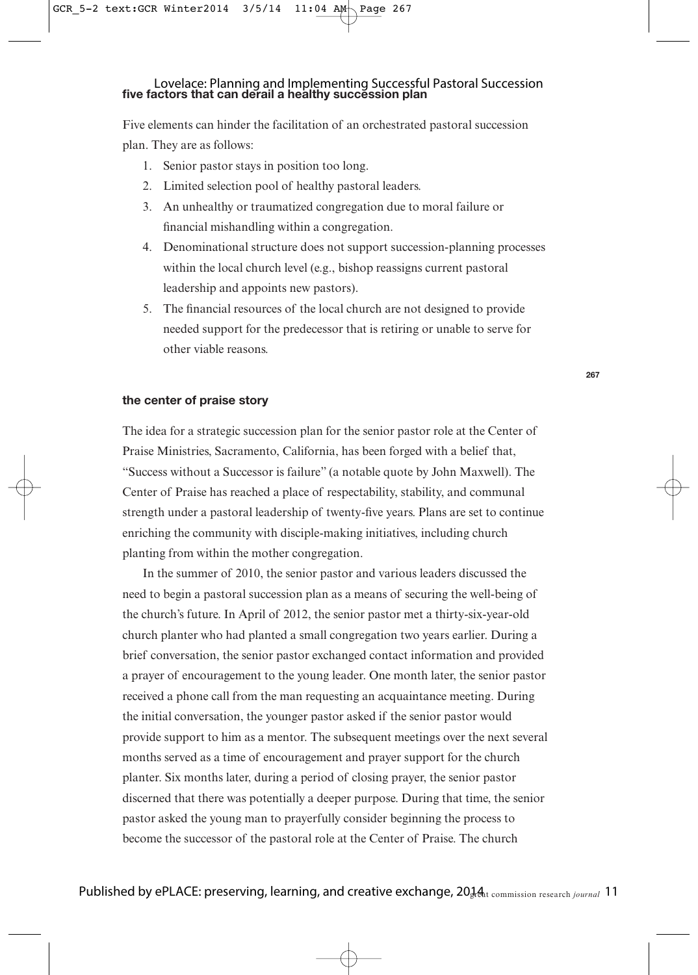# **five factors that can derail a healthy succession plan** Lovelace: Planning and Implementing Successful Pastoral Succession

Five elements can hinder the facilitation of an orchestrated pastoral succession plan. They are as follows:

- 1. Senior pastor stays in position too long.
- 2. Limited selection pool of healthy pastoral leaders.
- 3. An unhealthy or traumatized congregation due to moral failure or financial mishandling within a congregation.
- 4. Denominational structure does not support succession-planning processes within the local church level (e.g., bishop reassigns current pastoral leadership and appoints new pastors).
- 5. The financial resources of the local church are not designed to provide needed support for the predecessor that is retiring or unable to serve for other viable reasons.

## **the center of praise story**

The idea for a strategic succession plan for the senior pastor role at the Center of Praise Ministries, Sacramento, California, has been forged with a belief that, "Success without a Successor is failure" (a notable quote by John Maxwell). The Center of Praise has reached a place of respectability, stability, and communal strength under a pastoral leadership of twenty-five years. Plans are set to continue enriching the community with disciple-making initiatives, including church planting from within the mother congregation.

In the summer of 2010, the senior pastor and various leaders discussed the need to begin a pastoral succession plan as a means of securing the well-being of the church's future. In April of 2012, the senior pastor met a thirty-six-year-old church planter who had planted a small congregation two years earlier. During a brief conversation, the senior pastor exchanged contact information and provided a prayer of encouragement to the young leader. One month later, the senior pastor received a phone call from the man requesting an acquaintance meeting. During the initial conversation, the younger pastor asked if the senior pastor would provide support to him as a mentor. The subsequent meetings over the next several months served as a time of encouragement and prayer support for the church planter. Six months later, during a period of closing prayer, the senior pastor discerned that there was potentially a deeper purpose. During that time, the senior pastor asked the young man to prayerfully consider beginning the process to become the successor of the pastoral role at the Center of Praise. The church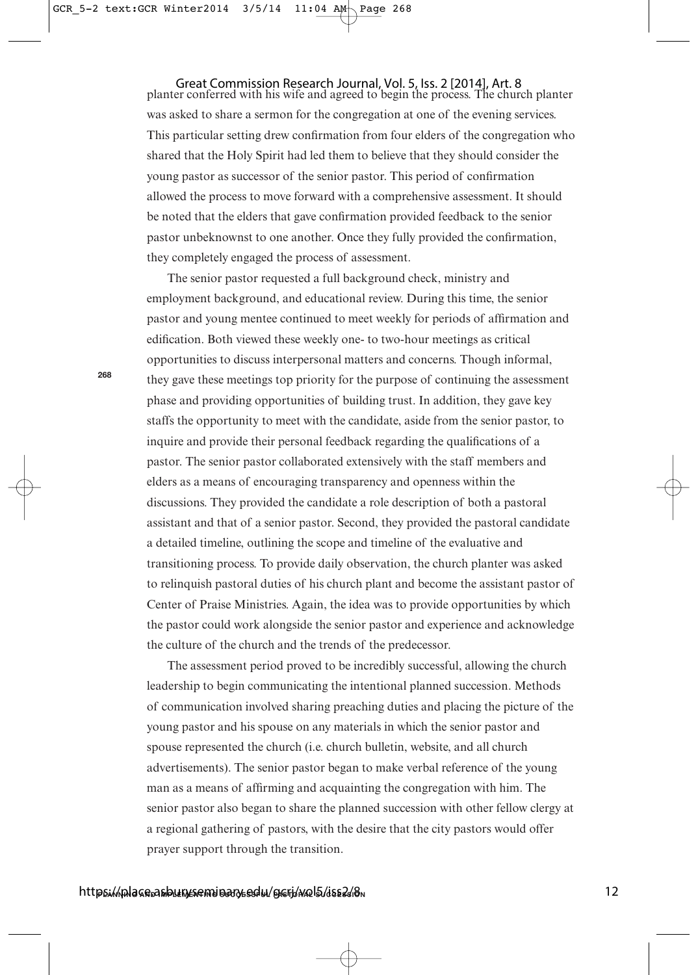Great Commission Research Journal, Vol. 5, Iss. 2 [2014], Art. 8<br>planter conferred with his wife and agreed to begin the process. The church planter was asked to share a sermon for the congregation at one of the evening services. This particular setting drew confirmation from four elders of the congregation who shared that the Holy Spirit had led them to believe that they should consider the young pastor as successor of the senior pastor. This period of confirmation allowed the process to move forward with a comprehensive assessment. It should be noted that the elders that gave confirmation provided feedback to the senior pastor unbeknownst to one another. Once they fully provided the confirmation, they completely engaged the process of assessment.

The senior pastor requested a full background check, ministry and employment background, and educational review. During this time, the senior pastor and young mentee continued to meet weekly for periods of affirmation and edification. Both viewed these weekly one- to two-hour meetings as critical opportunities to discuss interpersonal matters and concerns. Though informal, they gave these meetings top priority for the purpose of continuing the assessment phase and providing opportunities of building trust. In addition, they gave key staffs the opportunity to meet with the candidate, aside from the senior pastor, to inquire and provide their personal feedback regarding the qualifications of a pastor. The senior pastor collaborated extensively with the staff members and elders as a means of encouraging transparency and openness within the discussions. They provided the candidate a role description of both a pastoral assistant and that of a senior pastor. Second, they provided the pastoral candidate a detailed timeline, outlining the scope and timeline of the evaluative and transitioning process. To provide daily observation, the church planter was asked to relinquish pastoral duties of his church plant and become the assistant pastor of Center of Praise Ministries. Again, the idea was to provide opportunities by which the pastor could work alongside the senior pastor and experience and acknowledge the culture of the church and the trends of the predecessor.

The assessment period proved to be incredibly successful, allowing the church leadership to begin communicating the intentional planned succession. Methods of communication involved sharing preaching duties and placing the picture of the young pastor and his spouse on any materials in which the senior pastor and spouse represented the church (i.e. church bulletin, website, and all church advertisements). The senior pastor began to make verbal reference of the young man as a means of affirming and acquainting the congregation with him. The senior pastor also began to share the planned succession with other fellow clergy at a regional gathering of pastors, with the desire that the city pastors would offer prayer support through the transition.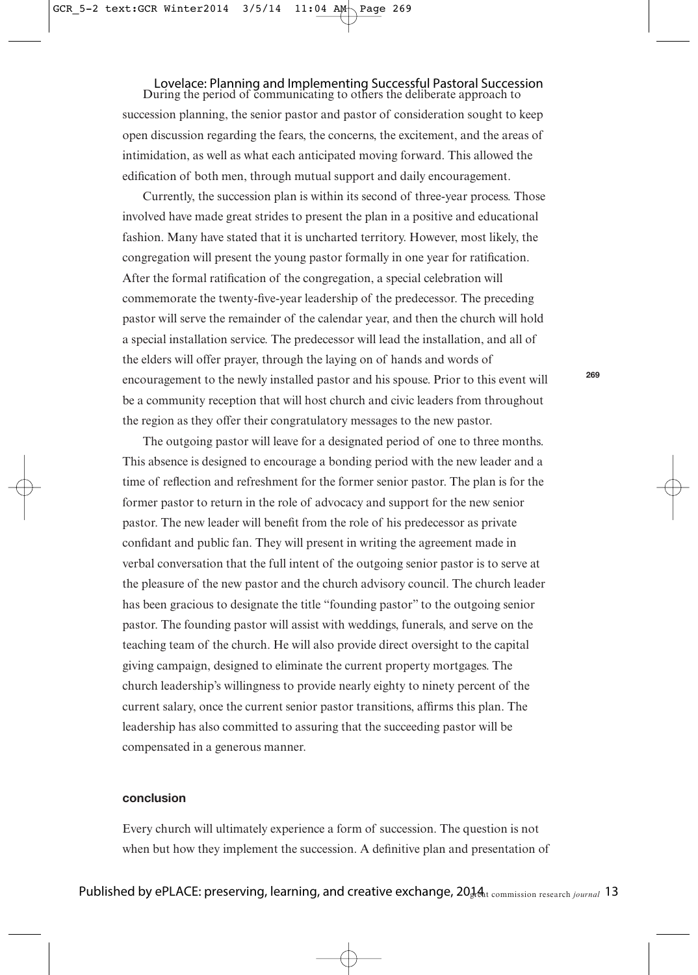## Lovelace: Planning and Implementing Successful Pastoral Succession<br>During the period of communicating to others the deliberate approach to

succession planning, the senior pastor and pastor of consideration sought to keep open discussion regarding the fears, the concerns, the excitement, and the areas of intimidation, as well as what each anticipated moving forward. This allowed the edification of both men, through mutual support and daily encouragement.

Currently, the succession plan is within its second of three-year process. Those involved have made great strides to present the plan in a positive and educational fashion. Many have stated that it is uncharted territory. However, most likely, the congregation will present the young pastor formally in one year for ratification. After the formal ratification of the congregation, a special celebration will commemorate the twenty-five-year leadership of the predecessor. The preceding pastor will serve the remainder of the calendar year, and then the church will hold a special installation service. The predecessor will lead the installation, and all of the elders will offer prayer, through the laying on of hands and words of encouragement to the newly installed pastor and his spouse. Prior to this event will be a community reception that will host church and civic leaders from throughout the region as they offer their congratulatory messages to the new pastor.

The outgoing pastor will leave for a designated period of one to three months. This absence is designed to encourage a bonding period with the new leader and a time of reflection and refreshment for the former senior pastor. The plan is for the former pastor to return in the role of advocacy and support for the new senior pastor. The new leader will benefit from the role of his predecessor as private confidant and public fan. They will present in writing the agreement made in verbal conversation that the full intent of the outgoing senior pastor is to serve at the pleasure of the new pastor and the church advisory council. The church leader has been gracious to designate the title "founding pastor" to the outgoing senior pastor. The founding pastor will assist with weddings, funerals, and serve on the teaching team of the church. He will also provide direct oversight to the capital giving campaign, designed to eliminate the current property mortgages. The church leadership's willingness to provide nearly eighty to ninety percent of the current salary, once the current senior pastor transitions, affirms this plan. The leadership has also committed to assuring that the succeeding pastor will be compensated in a generous manner.

## **conclusion**

Every church will ultimately experience a form of succession. The question is not when but how they implement the succession. A definitive plan and presentation of